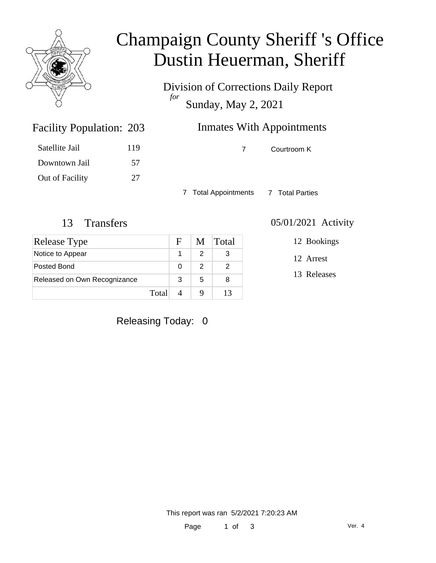

# Champaign County Sheriff 's Office Dustin Heuerman, Sheriff

Division of Corrections Daily Report *for* Sunday, May 2, 2021

| 203 | <b>Inmates With Appointments</b> |             |  |  |  |
|-----|----------------------------------|-------------|--|--|--|
| 119 |                                  | Courtroom K |  |  |  |
|     |                                  |             |  |  |  |

7 Total Appointments 7 Total Parties

Facility Population: 203

Satellite Jail 119

Downtown Jail 57

Out of Facility 27

| Release Type                 |       | F | M | <b>Total</b> |
|------------------------------|-------|---|---|--------------|
| Notice to Appear             |       |   |   | 3            |
| Posted Bond                  |       | O | 2 |              |
| Released on Own Recognizance |       | 3 | 5 | 8            |
|                              | Total |   |   | 13           |

### 13 Transfers 05/01/2021 Activity

12 Bookings

12 Arrest

13 Releases

Releasing Today: 0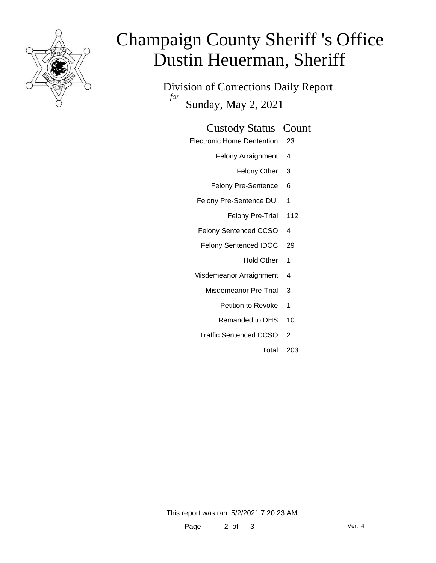

# Champaign County Sheriff 's Office Dustin Heuerman, Sheriff

Division of Corrections Daily Report *for* Sunday, May 2, 2021

### Custody Status Count

- Electronic Home Dentention 23
	- Felony Arraignment 4
		- Felony Other 3
	- Felony Pre-Sentence 6
	- Felony Pre-Sentence DUI 1
		- Felony Pre-Trial 112
	- Felony Sentenced CCSO 4
	- Felony Sentenced IDOC 29
		- Hold Other 1
	- Misdemeanor Arraignment 4
		- Misdemeanor Pre-Trial 3
			- Petition to Revoke 1
			- Remanded to DHS 10
		- Traffic Sentenced CCSO 2
			- Total 203

This report was ran 5/2/2021 7:20:23 AM